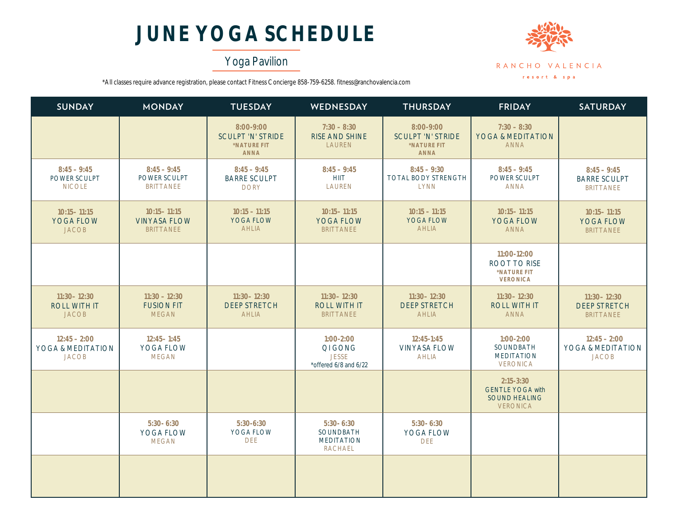# **JUNE YOGA SCHEDULE**

## Yoga Pavilion



\*All classes require advance registration, please contact Fitness Concierge 858-759-6258. fitness@ranchovalencia.com

| <b>SUNDAY</b>                                          | <b>MONDAY</b>                                              | <b>TUESDAY</b>                                                      | <b>WEDNESDAY</b>                                                  | <b>THURSDAY</b>                                                     | <b>FRIDAY</b>                                                                       | <b>SATURDAY</b>                                            |
|--------------------------------------------------------|------------------------------------------------------------|---------------------------------------------------------------------|-------------------------------------------------------------------|---------------------------------------------------------------------|-------------------------------------------------------------------------------------|------------------------------------------------------------|
|                                                        |                                                            | 8:00-9:00<br><b>SCULPT 'N' STRIDE</b><br>*NATURE FIT<br><b>ANNA</b> | $7:30 - 8:30$<br><b>RISE AND SHINE</b><br><b>LAUREN</b>           | 8:00-9:00<br><b>SCULPT 'N' STRIDE</b><br>*NATURE FIT<br><b>ANNA</b> | $7:30 - 8:30$<br>YOGA & MEDITATION<br><b>ANNA</b>                                   |                                                            |
| $8:45 - 9:45$<br>POWER SCULPT<br><b>NICOLE</b>         | $8:45 - 9:45$<br>POWER SCULPT<br><b>BRITTANEE</b>          | $8:45 - 9:45$<br><b>BARRE SCULPT</b><br><b>DORY</b>                 | $8:45 - 9:45$<br><b>HIIT</b><br><b>LAUREN</b>                     | $8:45 - 9:30$<br>TOTAL BODY STRENGTH<br><b>LYNN</b>                 | $8:45 - 9:45$<br>POWER SCULPT<br><b>ANNA</b>                                        | $8:45 - 9:45$<br><b>BARRE SCULPT</b><br><b>BRITTANEE</b>   |
| $10:15 - 11:15$<br><b>YOGA FLOW</b><br><b>JACOB</b>    | $10:15 - 11:15$<br><b>VINYASA FLOW</b><br><b>BRITTANEE</b> | $10:15 - 11:15$<br><b>YOGA FLOW</b><br><b>AHLIA</b>                 | $10:15 - 11:15$<br><b>YOGA FLOW</b><br><b>BRITTANEE</b>           | $10:15 - 11:15$<br><b>YOGA FLOW</b><br><b>AHLIA</b>                 | $10:15 - 11:15$<br><b>YOGA FLOW</b><br><b>ANNA</b>                                  | $10:15 - 11:15$<br><b>YOGA FLOW</b><br><b>BRITTANEE</b>    |
|                                                        |                                                            |                                                                     |                                                                   |                                                                     | 11:00-12:00<br><b>ROOT TO RISE</b><br>*NATURE FIT<br><b>VERONICA</b>                |                                                            |
| $11:30 - 12:30$<br><b>ROLL WITH IT</b><br><b>JACOB</b> | $11:30 - 12:30$<br><b>FUSION FIT</b><br><b>MEGAN</b>       | $11:30 - 12:30$<br><b>DEEP STRETCH</b><br><b>AHLIA</b>              | $11:30 - 12:30$<br><b>ROLL WITH IT</b><br><b>BRITTANEE</b>        | $11:30 - 12:30$<br><b>DEEP STRETCH</b><br><b>AHLIA</b>              | $11:30 - 12:30$<br><b>ROLL WITH IT</b><br><b>ANNA</b>                               | $11:30 - 12:30$<br><b>DEEP STRETCH</b><br><b>BRITTANEE</b> |
| $12:45 - 2:00$<br>YOGA & MEDITATION<br><b>JACOB</b>    | $12:45 - 1:45$<br>YOGA FLOW<br><b>MEGAN</b>                |                                                                     | $1:00-2:00$<br>QI GONG<br><b>JESSE</b><br>*offered 6/8 and 6/22   | $12:45 - 1:45$<br><b>VINYASA FLOW</b><br><b>AHLIA</b>               | $1:00-2:00$<br>SOUNDBATH<br><b>MEDITATION</b><br><b>VERONICA</b>                    | $12:45 - 2:00$<br>YOGA & MEDITATION<br><b>JACOB</b>        |
|                                                        |                                                            |                                                                     |                                                                   |                                                                     | $2:15 - 3:30$<br><b>GENTLE YOGA with</b><br><b>SOUND HEALING</b><br><b>VERONICA</b> |                                                            |
|                                                        | $5:30 - 6:30$<br>YOGA FLOW<br><b>MEGAN</b>                 | $5:30-6:30$<br>YOGA FLOW<br><b>DEE</b>                              | $5:30 - 6:30$<br>SOUNDBATH<br><b>MEDITATION</b><br><b>RACHAEL</b> | $5:30 - 6:30$<br>YOGA FLOW<br><b>DEE</b>                            |                                                                                     |                                                            |
|                                                        |                                                            |                                                                     |                                                                   |                                                                     |                                                                                     |                                                            |